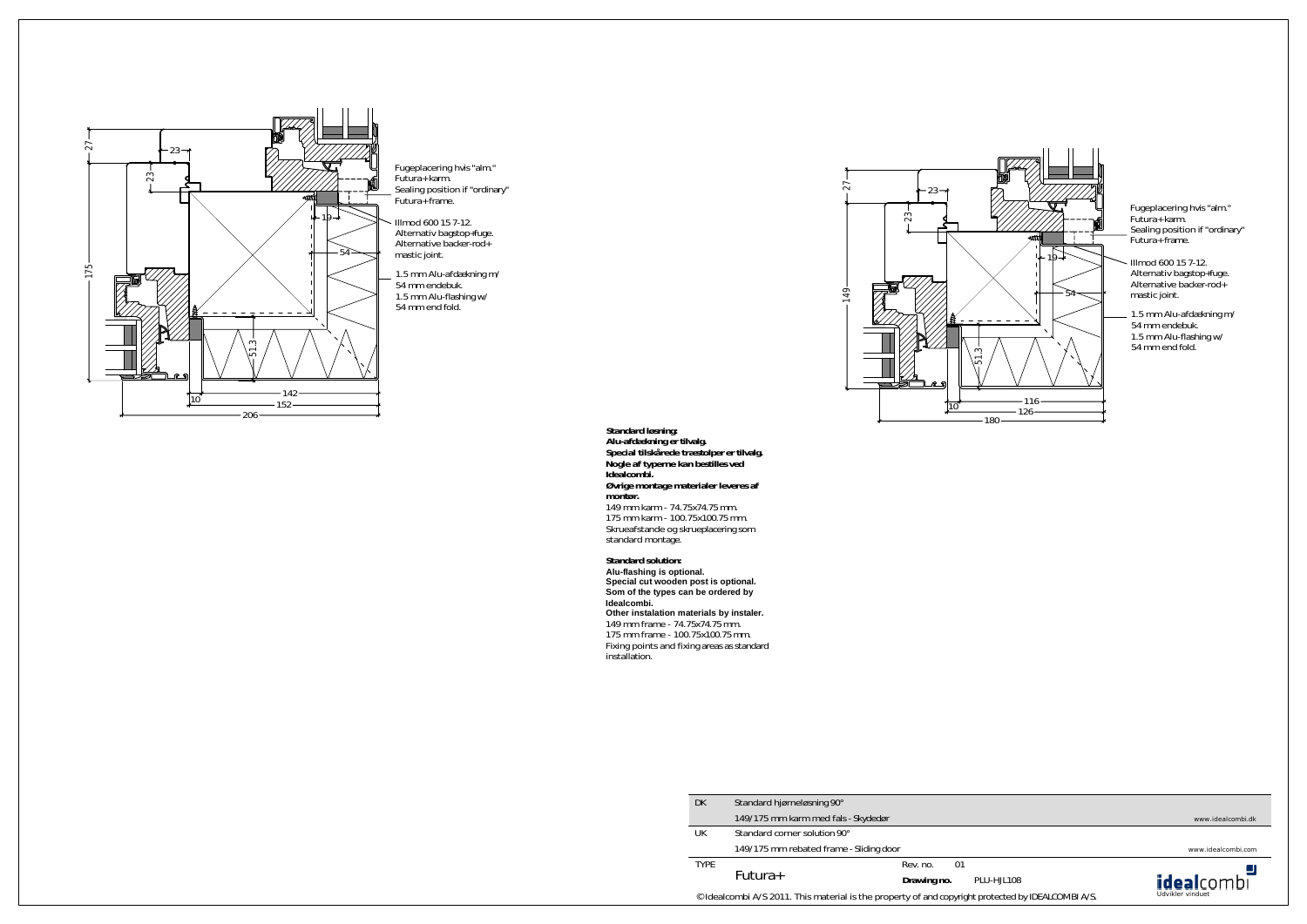**Standard løsning: Alu-afdækning er tilvalg. Special tilskårede træstolper er tilvalg. Nogle af typerne kan bestilles ved Idealcombi. Øvrige montage materialer leveres af montør.**

149 mm karm - 74.75x74.75 mm. 175 mm karm - 100.75x100.75 mm. Skrueafstande og skrueplacering som standard montage.

**Standard solution: Alu-flashing is optional. Special cut wooden post is optional. Som of the types can be ordered by Idealcombi. Other instalation materials by instaler.** 149 mm frame - 74.75x74.75 mm. 175 mm frame - 100.75x100.75 mm. Fixing points and fixing areas as standard installation.

Illmod 600 15 7-12. Alternativ bagstop+fuge. Alternative backer-rod+ mastic joint.

1.5 mm Alu-afdækning m/ 54 mm endebuk. 1.5 mm Alu-flashing w/ 54 mm end fold.



Fugeplacering hvis "alm." Futura+ karm. Sealing position if "ordinary" Futura+ frame.



Illmod 600 15 7-12. Alternativ bagstop+fuge. Alternative backer-rod+ mastic joint.

1.5 mm Alu-afdækning m/ 54 mm endebuk. 1.5 mm Alu-flashing w/ 54 mm end fold.

Fugeplacering hvis "alm." Futura+ karm. Sealing position if "ordinary" Futura+ frame.

www.idealcombi.dk

www.idealcombi.com





| DK.         | Standard hjørneløsning 90°                                                        |             |    |            |  |
|-------------|-----------------------------------------------------------------------------------|-------------|----|------------|--|
|             | 149/175 mm karm med fals - Skydedør                                               |             |    |            |  |
| UK          | Standard corner solution 90°                                                      |             |    |            |  |
|             | 149/175 mm rebated frame - Sliding door                                           |             |    |            |  |
| <b>TYPE</b> | Futura+                                                                           | Rev. no.    | 01 |            |  |
|             |                                                                                   | Drawing no. |    | PLU-HJL108 |  |
|             | © Idealcombi A/S 2011. This material is the property of and copyright protected b |             |    |            |  |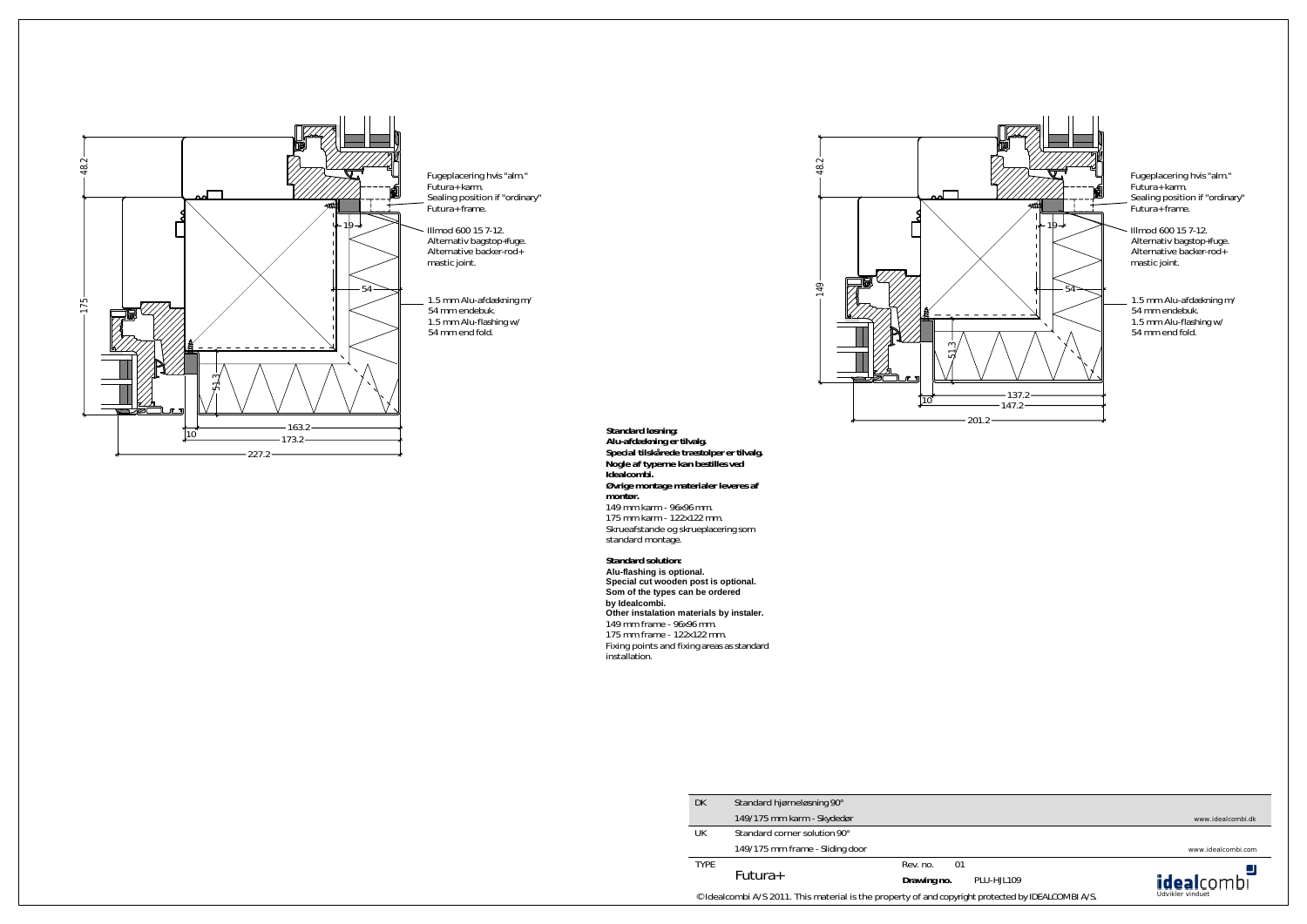**Standard løsning: Alu-afdækning er tilvalg. Special tilskårede træstolper er tilvalg. Nogle af typerne kan bestilles ved Idealcombi. Øvrige montage materialer leveres af montør.** 149 mm karm - 96x96 mm. 175 mm karm - 122x122 mm. Skrueafstande og skrueplacering som standard montage.

**Standard solution: Alu-flashing is optional. Special cut wooden post is optional. Som of the types can be ordered by Idealcombi. Other instalation materials by instaler.** 149 mm frame - 96x96 mm. 175 mm frame - 122x122 mm. Fixing points and fixing areas as standard installation.



Alternativ bagstop+fuge. Alternative backer-rod+



1.5 mm Alu-afdækning m/ 1.5 mm Alu-flashing w/

Fugeplacering hvis "alm." Futura+ karm. Sealing position if "ordinary" Futura+ frame.

> Illmod 600 15 7-12. Alternativ bagstop+fuge. Alternative backer-rod+ mastic joint.

1.5 mm Alu-afdækning m/ 54 mm endebuk. 1.5 mm Alu-flashing w/ 54 mm end fold.

Fugeplacering hvis "alm." Futura+ karm. Sealing position if "ordinary" Futura+ frame.

www.idealcombi.dk

www.idealcombi.com



| <b>DK</b>                                                                         | Standard hjørneløsning 90°      |             |    |            |  |  |
|-----------------------------------------------------------------------------------|---------------------------------|-------------|----|------------|--|--|
|                                                                                   | 149/175 mm karm - Skydedør      |             |    |            |  |  |
| UK                                                                                | Standard corner solution 90°    |             |    |            |  |  |
|                                                                                   | 149/175 mm frame - Sliding door |             |    |            |  |  |
| <b>TYPE</b>                                                                       | Futura+                         | Rev. no.    | 01 |            |  |  |
|                                                                                   |                                 | Drawing no. |    | PLU-HJL109 |  |  |
| © Idealcombi A/S 2011. This material is the property of and copyright protected b |                                 |             |    |            |  |  |